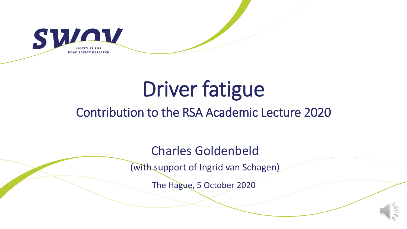

# Driver fatigue

#### Contribution to the RSA Academic Lecture 2020

Charles Goldenbeld

(with support of Ingrid van Schagen)

The Hague, 5 October 2020

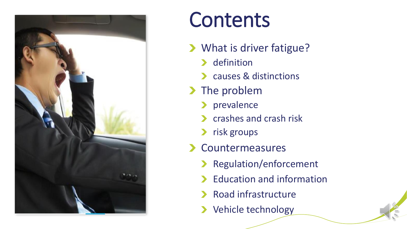

# **Contents**

- > What is driver fatigue?
	- > definition
	- causes & distinctions
- > The problem
	- **>** prevalence
	- **Crashes and crash risk**
	- > risk groups
- Countermeasures
	- > Regulation/enforcement
	- > Education and information
	- > Road infrastructure
	- > Vehicle technology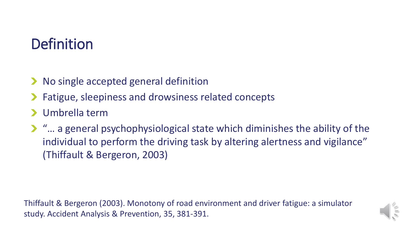#### **Definition**

- **No single accepted general definition**
- Fatigue, sleepiness and drowsiness related concepts
- Umbrella term
- "… a general psychophysiological state which diminishes the ability of the individual to perform the driving task by altering alertness and vigilance" (Thiffault & Bergeron, 2003)

Thiffault & Bergeron (2003). Monotony of road environment and driver fatigue: a simulator study. Accident Analysis & Prevention, 35, 381-391.

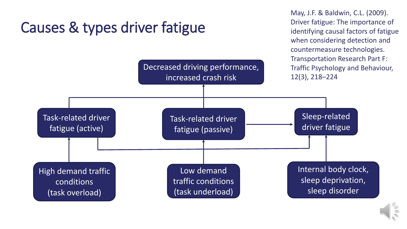#### Causes & types driver fatigue

May, J.F. & Baldwin, C.L. (2009). Driver fatigue: The importance of identifying causal factors of fatigue when considering detection and countermeasure technologies. Transportation Research Part F: Traffic Psychology and Behaviour, 12(3), 218–224



Decreased driving performance,

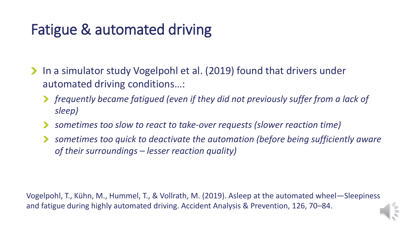#### Fatigue & automated driving

- In a simulator study Vogelpohl et al. (2019) found that drivers under automated driving conditions…:
	- *frequently became fatigued (even if they did not previously suffer from a lack of sleep)*
	- *sometimes too slow to react to take-over requests (slower reaction time)*
	- *sometimes too quick to deactivate the automation (before being sufficiently aware of their surroundings – lesser reaction quality)*

Vogelpohl, T., Kühn, M., Hummel, T., & Vollrath, M. (2019). Asleep at the automated wheel—Sleepiness and fatigue during highly automated driving. Accident Analysis & Prevention, 126, 70–84.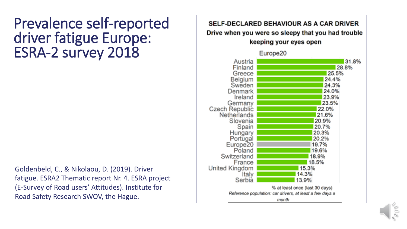#### Prevalence self-reported driver fatigue Europe: ESRA-2 survey 2018

Goldenbeld, C., & Nikolaou, D. (2019). Driver fatigue. ESRA2 Thematic report Nr. 4. ESRA project (E-Survey of Road users' Attitudes). Institute for Road Safety Research SWOV, the Hague.

#### **SELF-DECLARED BEHAVIOUR AS A CAR DRIVER** Drive when you were so sleepy that you had trouble keeping your eyes open Europe<sub>20</sub> 31.8% Austria Finland 28.8% Greece 25.5% **Belgium** 24.4% Sweden 24.3% 24.0% Denmark Ireland 23.9% 23.5% Germany Czech Republic 22.0% Netherlands 21.6% Slovenia 20.9% Spain 20.7% Hungary 20.3% Portugal 20.2% Europe20 19.7% Poland 19.6% Switzerland 18.9% France 18.5% United Kingdom 15.3% Italy 14.3% Serbia 13.9% % at least once (last 30 days) Reference population: car drivers, at least a few days a month

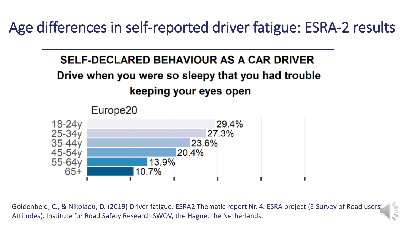Age differences in self-reported driver fatigue: ESRA-2 results



Goldenbeld, C., & Nikolaou, D. (2019) Driver fatigue. ESRA2 Thematic report Nr. 4. ESRA project (E-Survey of Road users' Attitudes). Institute for Road Safety Research SWOV, the Hague, the Netherlands.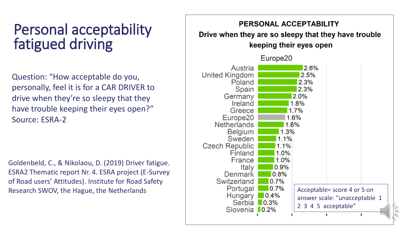#### Personal acceptability fatigued driving

Question: "How acceptable do you, personally, feel it is for a CAR DRIVER to drive when they're so sleepy that they have trouble keeping their eyes open?" Source: ESRA-2

Goldenbeld, C., & Nikolaou, D. (2019) Driver fatigue. ESRA2 Thematic report Nr. 4. ESRA project (E-Survey of Road users' Attitudes). Institute for Road Safety

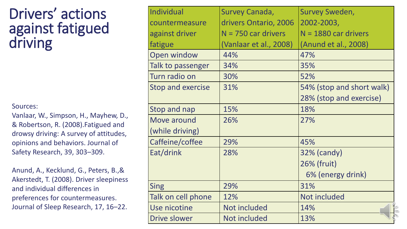#### Drivers' actions against fatigued driving

#### Sources:

Vanlaar, W., Simpson, H., Mayhew, D., & Robertson, R. (2008).Fatigued and drowsy driving: A survey of attitudes, opinions and behaviors. Journal of Safety Research, 39, 303–309.

Anund, A., Kecklund, G., Peters, B.,& Akerstedt, T. (2008). Driver sleepiness and individual differences in preferences for countermeasures. Journal of Sleep Research, 17, 16–22.

| Individual               | Survey Canada,         | Survey Sweden,            |
|--------------------------|------------------------|---------------------------|
| countermeasure           | drivers Ontario, 2006  | 2002-2003,                |
| against driver           | $N = 750$ car drivers  | $N = 1880$ car drivers    |
| fatigue                  | (Vanlaar et al., 2008) | (Anund et al., 2008)      |
| <b>Open window</b>       | 44%                    | 47%                       |
| Talk to passenger        | 34%                    | 35%                       |
| Turn radio on            | 30%                    | 52%                       |
| <b>Stop and exercise</b> | 31%                    | 54% (stop and short walk) |
|                          |                        | 28% (stop and exercise)   |
| Stop and nap             | 15%                    | 18%                       |
| Move around              | 26%                    | 27%                       |
| (while driving)          |                        |                           |
| Caffeine/coffee          | 29%                    | 45%                       |
| Eat/drink                | 28%                    | 32% (candy)               |
|                          |                        | 26% (fruit)               |
|                          |                        | 6% (energy drink)         |
| Sing                     | 29%                    | 31%                       |
| Talk on cell phone       | 12%                    | Not included              |
| Use nicotine             | Not included           | 14%                       |
| <b>Drive slower</b>      | Not included           | 13%                       |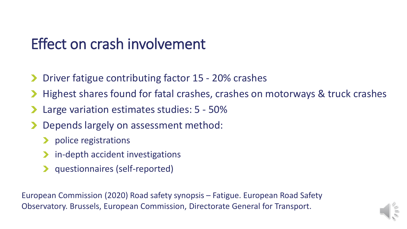#### Effect on crash involvement

- Driver fatigue contributing factor 15 20% crashes
- Highest shares found for fatal crashes, crashes on motorways & truck crashes
- Large variation estimates studies: 5 50%
- Depends largely on assessment method:
	- **Department police registrations**
	- in-depth accident investigations
	- questionnaires (self-reported)

European Commission (2020) Road safety synopsis – Fatigue. European Road Safety Observatory. Brussels, European Commission, Directorate General for Transport.

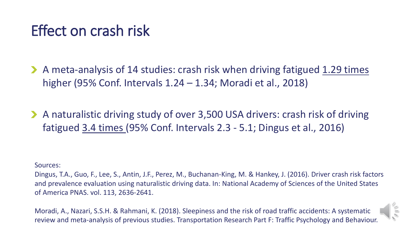#### Effect on crash risk

A meta-analysis of 14 studies: crash risk when driving fatigued 1.29 times higher (95% Conf. Intervals 1.24 – 1.34; Moradi et al., 2018)

A naturalistic driving study of over 3,500 USA drivers: crash risk of driving fatigued 3.4 times (95% Conf. Intervals 2.3 - 5.1; Dingus et al., 2016)

Sources:

Dingus, T.A., Guo, F., Lee, S., Antin, J.F., Perez, M., Buchanan-King, M. & Hankey, J. (2016). Driver crash risk factors and prevalence evaluation using naturalistic driving data. In: National Academy of Sciences of the United States of America PNAS. vol. 113, 2636-2641.

Moradi, A., Nazari, S.S.H. & Rahmani, K. (2018). Sleepiness and the risk of road traffic accidents: A systematic review and meta-analysis of previous studies. Transportation Research Part F: Traffic Psychology and Behaviour.

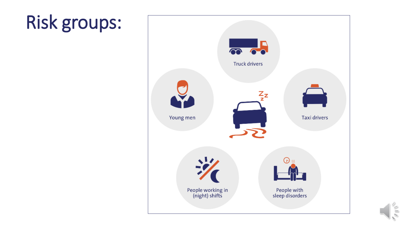## Risk groups:



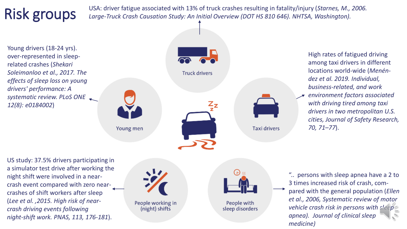## Risk groups

USA: driver fatigue associated with 13% of truck crashes resulting in fatality/injury (*Starnes, M., 2006. Large-Truck Crash Causation Study: An Initial Overview (DOT HS 810 646). NHTSA, Washington).*

Young drivers (18-24 yrs). over-represented in sleeprelated crashes (*Shekari Soleimanloo et al., 2017. The effects of sleep loss on young drivers' performance: A systematic review. PLoS ONE 12(8): e0184002*)



High rates of fatigued driving among taxi drivers in different locations world-wide (*Menéndez et al. 2019. Individual, business-related, and work* 

*environment factors associated with driving tired among taxi drivers in two metropolitan U.S. cities, Journal of Safety Research, 70, 71–77*).

US study: 37.5% drivers participating in a simulator test drive after working the night shift were involved in a nearcrash event compared with zero nearcrashes of shift workers after sleep (*Lee et al. ,2015. High risk of nearcrash driving events following night-shift work. PNAS, 113, 176-181*).





People with sleep disorders

".. persons with sleep apnea have a 2 to 3 times increased risk of crash, compared with the general population (*Ellen et al., 2006, Systematic review of motor vehicle crash risk in persons with sleep apnea). Journal of clinical sleep medicine)*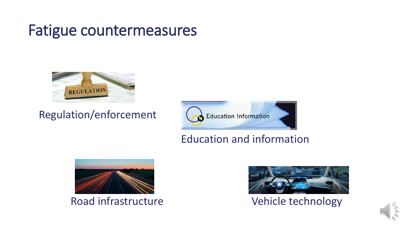#### Fatigue countermeasures



#### Regulation/enforcement



#### Education and information





Road infrastructure Vehicle technology

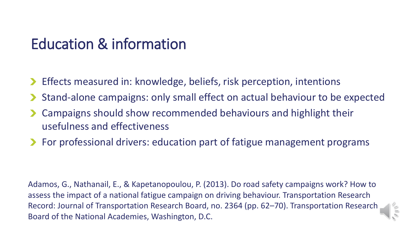#### Education & information

- Effects measured in: knowledge, beliefs, risk perception, intentions
- Stand-alone campaigns: only small effect on actual behaviour to be expected
- Campaigns should show recommended behaviours and highlight their usefulness and effectiveness
- ▶ For professional drivers: education part of fatigue management programs

Adamos, G., Nathanail, E., & Kapetanopoulou, P. (2013). Do road safety campaigns work? How to assess the impact of a national fatigue campaign on driving behaviour. Transportation Research Record: Journal of Transportation Research Board, no. 2364 (pp. 62–70). Transportation Research Board of the National Academies, Washington, D.C.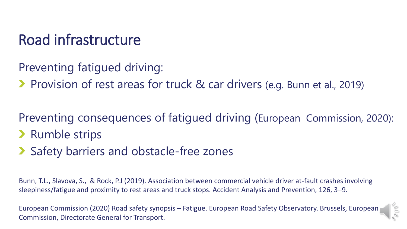#### Road infrastructure

Preventing fatigued driving:

▶ Provision of rest areas for truck & car drivers (e.g. Bunn et al., 2019)

Preventing consequences of fatigued driving (European Commission, 2020): **>** Rumble strips

Safety barriers and obstacle-free zones

Bunn, T.L., Slavova, S., & Rock, P.J (2019). Association between commercial vehicle driver at-fault crashes involving sleepiness/fatigue and proximity to rest areas and truck stops. Accident Analysis and Prevention, 126, 3–9.

European Commission (2020) Road safety synopsis – Fatigue. European Road Safety Observatory. Brussels, European Commission, Directorate General for Transport.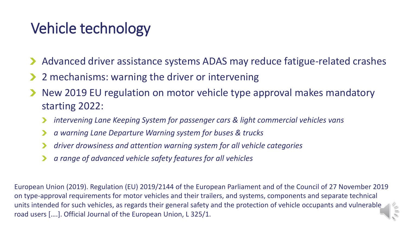#### Vehicle technology

- Advanced driver assistance systems ADAS may reduce fatigue-related crashes
- 2 mechanisms: warning the driver or intervening
- New 2019 EU regulation on motor vehicle type approval makes mandatory starting 2022:
	- *intervening Lane Keeping System for passenger cars & light commercial vehicles vans*
	- *a warning Lane Departure Warning system for buses & trucks*
	- *driver drowsiness and attention warning system for all vehicle categories*
	- *a range of advanced vehicle safety features for all vehicles*

European Union (2019). Regulation (EU) 2019/2144 of the European Parliament and of the Council of 27 November 2019 on type-approval requirements for motor vehicles and their trailers, and systems, components and separate technical units intended for such vehicles, as regards their general safety and the protection of vehicle occupants and vulnerable road users [….]. Official Journal of the European Union, L 325/1.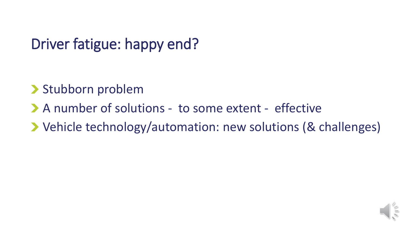## Driver fatigue: happy end?

- Stubborn problem
- A number of solutions to some extent effective
- Vehicle technology/automation: new solutions (& challenges)